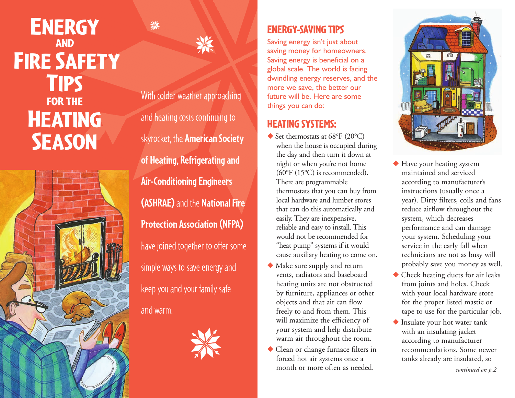# **ENERGY AND FIRE SAFETY TIPS FOR THE HEATING SEASON**





※

With colder weather approaching and heating costs continuing to skyrocket, the **American Society of Heating, Refrigerating and Air-Conditioning Engineers (ASHRAE)**and the **National Fire Protection Association (NFPA)** have joined together to offer some simple ways to save energy and keep you and your family safe and warm.



## **ENERGY-SAVING TIPS**

Saving energy isn't just about saving money for homeowners. Saving energy is beneficial on a global scale. The world is facing dwindling energy reserves, and the more we save, the better our future will be. Here are some things you can do:

## **HEATING SYSTEMS:**

- ◆ Set thermostats at 68°F (20°C) when the house is occupied during the day and then turn it down at night or when you're not home (60°F (15°C) is recommended). There are programmable thermostats that you can buy from local hardware and lumber stores that can do this automatically and easily. They are inexpensive, reliable and easy to install. This would not be recommended for "heat pump" systems if it would cause auxiliary heating to come on.
- **◆** Make sure supply and return vents, radiators and baseboard heating units are not obstructed by furniture, appliances or other objects and that air can flow freely to and from them. This will maximize the efficiency of your system and help distribute warm air throughout the room.
- **◆** Clean or change furnace filters in forced hot air systems once a month or more often as needed.



- **◆** Have your heating system maintained and serviced according to manufacturer's instructions (usually once a year). Dirty filters, coils and fans reduce airflow throughout the system, which decreases performance and can damage your system. Scheduling your service in the early fall when technicians are not as busy will probably save you money as well.
- **◆** Check heating ducts for air leaks from joints and holes. Check with your local hardware store for the proper listed mastic or tape to use for the particular job.
- **◆** Insulate your hot water tank with an insulating jacket according to manufacturer recommendations. Some newer tanks already are insulated, so

*continued on p.2*